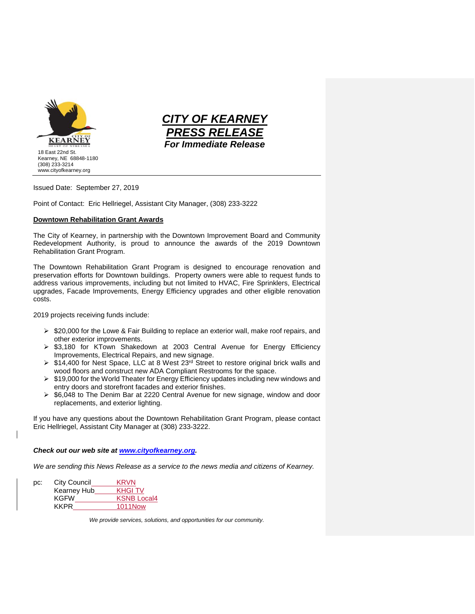



Issued Date: September 27, 2019

Point of Contact: Eric Hellriegel, Assistant City Manager, (308) 233-3222

## **Downtown Rehabilitation Grant Awards**

The City of Kearney, in partnership with the Downtown Improvement Board and Community Redevelopment Authority, is proud to announce the awards of the 2019 Downtown Rehabilitation Grant Program.

The Downtown Rehabilitation Grant Program is designed to encourage renovation and preservation efforts for Downtown buildings. Property owners were able to request funds to address various improvements, including but not limited to HVAC, Fire Sprinklers, Electrical upgrades, Facade Improvements, Energy Efficiency upgrades and other eligible renovation costs.

2019 projects receiving funds include:

- $\triangleright$  \$20,000 for the Lowe & Fair Building to replace an exterior wall, make roof repairs, and other exterior improvements.
- ➢ \$3,180 for KTown Shakedown at 2003 Central Avenue for Energy Efficiency Improvements, Electrical Repairs, and new signage.
- $\triangleright$  \$14,400 for Nest Space, LLC at 8 West 23<sup>rd</sup> Street to restore original brick walls and wood floors and construct new ADA Compliant Restrooms for the space.
- ➢ \$19,000 for the World Theater for Energy Efficiency updates including new windows and entry doors and storefront facades and exterior finishes.
- $\geq$  \$6,048 to The Denim Bar at 2220 Central Avenue for new signage, window and door replacements, and exterior lighting.

If you have any questions about the Downtown Rehabilitation Grant Program, please contact Eric Hellriegel, Assistant City Manager at (308) 233-3222.

## *Check out our web site at [www.cityofkearney.org.](http://www.cityofkearney.org/)*

*We are sending this News Release as a service to the news media and citizens of Kearney.*

| pc: | City Council | <b>KRVN</b>        |
|-----|--------------|--------------------|
|     | Kearney Hub  | <b>KHGITV</b>      |
|     | <b>KGFW</b>  | <b>KSNB Local4</b> |
|     | <b>KKPR</b>  | <b>1011Now</b>     |
|     |              |                    |

*We provide services, solutions, and opportunities for our community.*